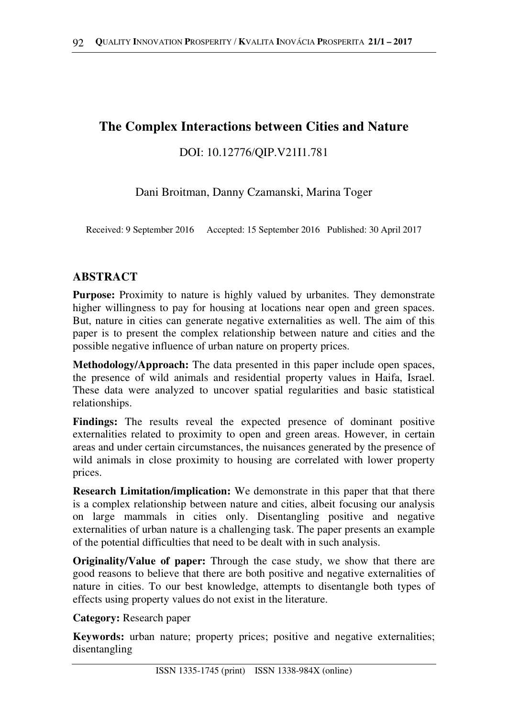# **The Complex Interactions between Cities and Nature**

## DOI: 10.12776/QIP.V21I1.781

Dani Broitman, Danny Czamanski, Marina Toger

Received: 9 September 2016 Accepted: 15 September 2016 Published: 30 April 2017

## **ABSTRACT**

**Purpose:** Proximity to nature is highly valued by urbanites. They demonstrate higher willingness to pay for housing at locations near open and green spaces. But, nature in cities can generate negative externalities as well. The aim of this paper is to present the complex relationship between nature and cities and the possible negative influence of urban nature on property prices.

**Methodology/Approach:** The data presented in this paper include open spaces, the presence of wild animals and residential property values in Haifa, Israel. These data were analyzed to uncover spatial regularities and basic statistical relationships.

**Findings:** The results reveal the expected presence of dominant positive externalities related to proximity to open and green areas. However, in certain areas and under certain circumstances, the nuisances generated by the presence of wild animals in close proximity to housing are correlated with lower property prices.

**Research Limitation/implication:** We demonstrate in this paper that that there is a complex relationship between nature and cities, albeit focusing our analysis on large mammals in cities only. Disentangling positive and negative externalities of urban nature is a challenging task. The paper presents an example of the potential difficulties that need to be dealt with in such analysis.

**Originality/Value of paper:** Through the case study, we show that there are good reasons to believe that there are both positive and negative externalities of nature in cities. To our best knowledge, attempts to disentangle both types of effects using property values do not exist in the literature.

**Category:** Research paper

**Keywords:** urban nature; property prices; positive and negative externalities; disentangling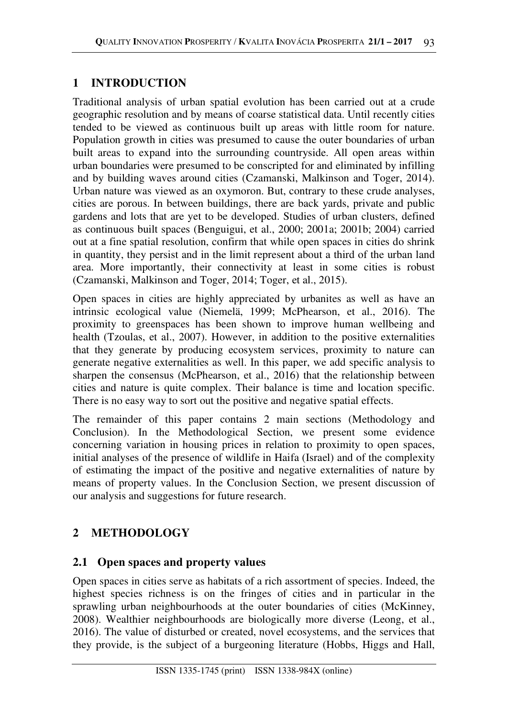## **1 INTRODUCTION**

Traditional analysis of urban spatial evolution has been carried out at a crude geographic resolution and by means of coarse statistical data. Until recently cities tended to be viewed as continuous built up areas with little room for nature. Population growth in cities was presumed to cause the outer boundaries of urban built areas to expand into the surrounding countryside. All open areas within urban boundaries were presumed to be conscripted for and eliminated by infilling and by building waves around cities (Czamanski, Malkinson and Toger, 2014). Urban nature was viewed as an oxymoron. But, contrary to these crude analyses, cities are porous. In between buildings, there are back yards, private and public gardens and lots that are yet to be developed. Studies of urban clusters, defined as continuous built spaces (Benguigui, et al., 2000; 2001a; 2001b; 2004) carried out at a fine spatial resolution, confirm that while open spaces in cities do shrink in quantity, they persist and in the limit represent about a third of the urban land area. More importantly, their connectivity at least in some cities is robust (Czamanski, Malkinson and Toger, 2014; Toger, et al., 2015).

Open spaces in cities are highly appreciated by urbanites as well as have an intrinsic ecological value (Niemelä, 1999; McPhearson, et al., 2016). The proximity to greenspaces has been shown to improve human wellbeing and health (Tzoulas, et al., 2007). However, in addition to the positive externalities that they generate by producing ecosystem services, proximity to nature can generate negative externalities as well. In this paper, we add specific analysis to sharpen the consensus (McPhearson, et al., 2016) that the relationship between cities and nature is quite complex. Their balance is time and location specific. There is no easy way to sort out the positive and negative spatial effects.

The remainder of this paper contains 2 main sections (Methodology and Conclusion). In the Methodological Section, we present some evidence concerning variation in housing prices in relation to proximity to open spaces, initial analyses of the presence of wildlife in Haifa (Israel) and of the complexity of estimating the impact of the positive and negative externalities of nature by means of property values. In the Conclusion Section, we present discussion of our analysis and suggestions for future research.

# **2 METHODOLOGY**

## **2.1 Open spaces and property values**

Open spaces in cities serve as habitats of a rich assortment of species. Indeed, the highest species richness is on the fringes of cities and in particular in the sprawling urban neighbourhoods at the outer boundaries of cities (McKinney, 2008). Wealthier neighbourhoods are biologically more diverse (Leong, et al., 2016). The value of disturbed or created, novel ecosystems, and the services that they provide, is the subject of a burgeoning literature (Hobbs, Higgs and Hall,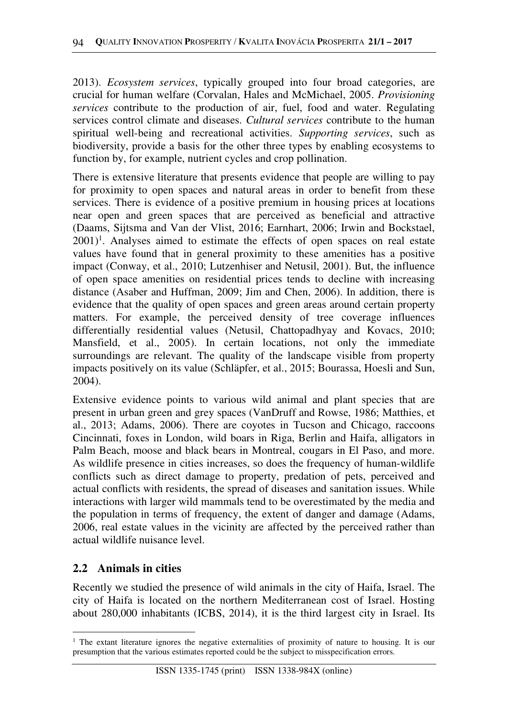2013). *Ecosystem services*, typically grouped into four broad categories, are crucial for human welfare (Corvalan, Hales and McMichael, 2005. *Provisioning services* contribute to the production of air, fuel, food and water. Regulating services control climate and diseases. *Cultural services* contribute to the human spiritual well-being and recreational activities. *Supporting services*, such as biodiversity, provide a basis for the other three types by enabling ecosystems to function by, for example, nutrient cycles and crop pollination.

There is extensive literature that presents evidence that people are willing to pay for proximity to open spaces and natural areas in order to benefit from these services. There is evidence of a positive premium in housing prices at locations near open and green spaces that are perceived as beneficial and attractive (Daams, Sijtsma and Van der Vlist, 2016; Earnhart, 2006; Irwin and Bockstael,  $2001$ <sup>1</sup>. Analyses aimed to estimate the effects of open spaces on real estate values have found that in general proximity to these amenities has a positive impact (Conway, et al., 2010; Lutzenhiser and Netusil, 2001). But, the influence of open space amenities on residential prices tends to decline with increasing distance (Asaber and Huffman, 2009; Jim and Chen, 2006). In addition, there is evidence that the quality of open spaces and green areas around certain property matters. For example, the perceived density of tree coverage influences differentially residential values (Netusil, Chattopadhyay and Kovacs, 2010; Mansfield, et al., 2005). In certain locations, not only the immediate surroundings are relevant. The quality of the landscape visible from property impacts positively on its value (Schläpfer, et al., 2015; Bourassa, Hoesli and Sun, 2004).

Extensive evidence points to various wild animal and plant species that are present in urban green and grey spaces (VanDruff and Rowse, 1986; Matthies, et al., 2013; Adams, 2006). There are coyotes in Tucson and Chicago, raccoons Cincinnati, foxes in London, wild boars in Riga, Berlin and Haifa, alligators in Palm Beach, moose and black bears in Montreal, cougars in El Paso, and more. As wildlife presence in cities increases, so does the frequency of human-wildlife conflicts such as direct damage to property, predation of pets, perceived and actual conflicts with residents, the spread of diseases and sanitation issues. While interactions with larger wild mammals tend to be overestimated by the media and the population in terms of frequency, the extent of danger and damage (Adams, 2006, real estate values in the vicinity are affected by the perceived rather than actual wildlife nuisance level.

#### **2.2 Animals in cities**

 $\overline{\phantom{a}}$ 

Recently we studied the presence of wild animals in the city of Haifa, Israel. The city of Haifa is located on the northern Mediterranean cost of Israel. Hosting about 280,000 inhabitants (ICBS, 2014), it is the third largest city in Israel. Its

<sup>&</sup>lt;sup>1</sup> The extant literature ignores the negative externalities of proximity of nature to housing. It is our presumption that the various estimates reported could be the subject to misspecification errors.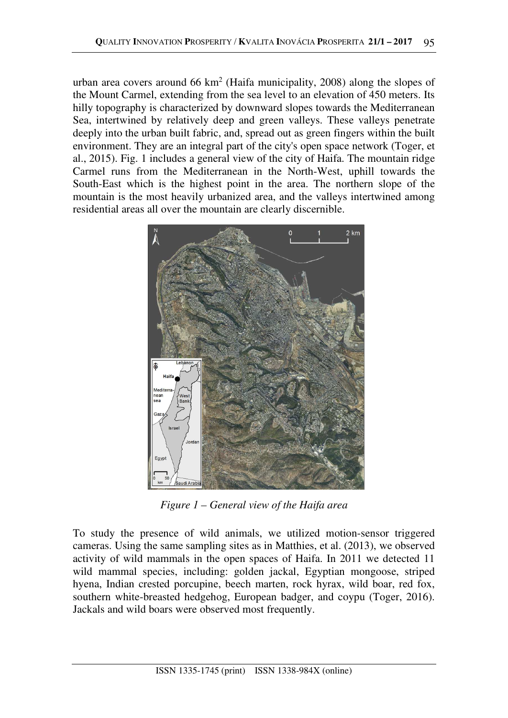urban area covers around  $66 \text{ km}^2$  (Haifa municipality, 2008) along the slopes of the Mount Carmel, extending from the sea level to an elevation of 450 meters. Its hilly topography is characterized by downward slopes towards the Mediterranean Sea, intertwined by relatively deep and green valleys. These valleys penetrate deeply into the urban built fabric, and, spread out as green fingers within the built environment. They are an integral part of the city's open space network (Toger, et al., 2015). Fig. 1 includes a general view of the city of Haifa. The mountain ridge Carmel runs from the Mediterranean in the North-West, uphill towards the South-East which is the highest point in the area. The northern slope of the mountain is the most heavily urbanized area, and the valleys intertwined among residential areas all over the mountain are clearly discernible.



*Figure 1 – General view of the Haifa area* 

To study the presence of wild animals, we utilized motion-sensor triggered cameras. Using the same sampling sites as in Matthies, et al. (2013), we observed activity of wild mammals in the open spaces of Haifa. In 2011 we detected 11 wild mammal species, including: golden jackal, Egyptian mongoose, striped hyena, Indian crested porcupine, beech marten, rock hyrax, wild boar, red fox, southern white-breasted hedgehog, European badger, and coypu (Toger, 2016). Jackals and wild boars were observed most frequently.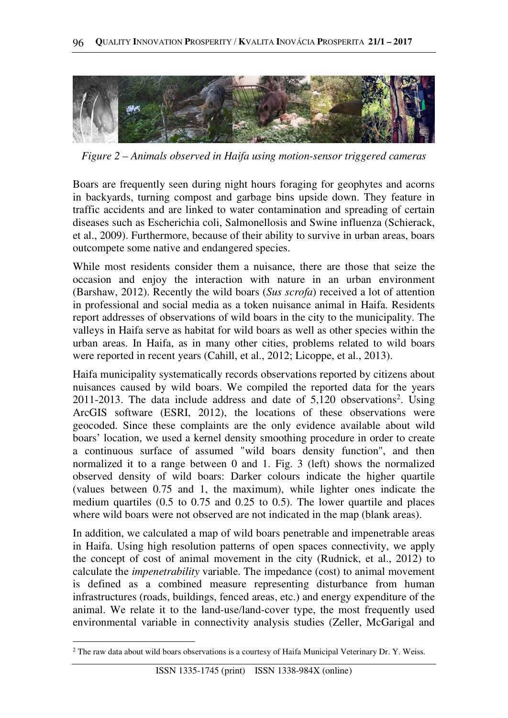

*Figure 2 – Animals observed in Haifa using motion-sensor triggered cameras* 

Boars are frequently seen during night hours foraging for geophytes and acorns in backyards, turning compost and garbage bins upside down. They feature in traffic accidents and are linked to water contamination and spreading of certain diseases such as Escherichia coli, Salmonellosis and Swine influenza (Schierack, et al., 2009). Furthermore, because of their ability to survive in urban areas, boars outcompete some native and endangered species.

While most residents consider them a nuisance, there are those that seize the occasion and enjoy the interaction with nature in an urban environment (Barshaw, 2012). Recently the wild boars (*Sus scrofa*) received a lot of attention in professional and social media as a token nuisance animal in Haifa. Residents report addresses of observations of wild boars in the city to the municipality. The valleys in Haifa serve as habitat for wild boars as well as other species within the urban areas. In Haifa, as in many other cities, problems related to wild boars were reported in recent years (Cahill, et al., 2012; Licoppe, et al., 2013).

Haifa municipality systematically records observations reported by citizens about nuisances caused by wild boars. We compiled the reported data for the years  $2011-2013$ . The data include address and date of  $5,120$  observations<sup>2</sup>. Using ArcGIS software (ESRI, 2012), the locations of these observations were geocoded. Since these complaints are the only evidence available about wild boars' location, we used a kernel density smoothing procedure in order to create a continuous surface of assumed "wild boars density function", and then normalized it to a range between 0 and 1. Fig. 3 (left) shows the normalized observed density of wild boars: Darker colours indicate the higher quartile (values between 0.75 and 1, the maximum), while lighter ones indicate the medium quartiles (0.5 to 0.75 and 0.25 to 0.5). The lower quartile and places where wild boars were not observed are not indicated in the map (blank areas).

In addition, we calculated a map of wild boars penetrable and impenetrable areas in Haifa. Using high resolution patterns of open spaces connectivity, we apply the concept of cost of animal movement in the city (Rudnick, et al., 2012) to calculate the *impenetrability* variable. The impedance (cost) to animal movement is defined as a combined measure representing disturbance from human infrastructures (roads, buildings, fenced areas, etc.) and energy expenditure of the animal. We relate it to the land-use/land-cover type, the most frequently used environmental variable in connectivity analysis studies (Zeller, McGarigal and

 $\overline{\phantom{a}}$ 

<sup>&</sup>lt;sup>2</sup> The raw data about wild boars observations is a courtesy of Haifa Municipal Veterinary Dr. Y. Weiss.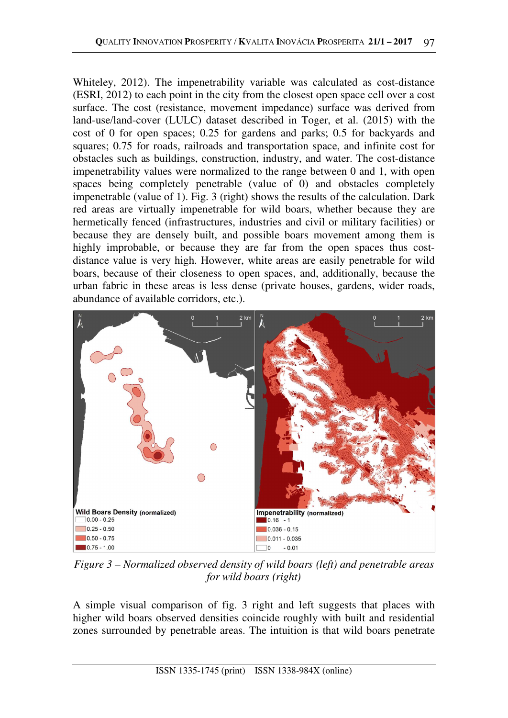Whiteley, 2012). The impenetrability variable was calculated as cost-distance (ESRI, 2012) to each point in the city from the closest open space cell over a cost surface. The cost (resistance, movement impedance) surface was derived from land-use/land-cover (LULC) dataset described in Toger, et al. (2015) with the cost of 0 for open spaces; 0.25 for gardens and parks; 0.5 for backyards and squares; 0.75 for roads, railroads and transportation space, and infinite cost for obstacles such as buildings, construction, industry, and water. The cost-distance impenetrability values were normalized to the range between 0 and 1, with open spaces being completely penetrable (value of 0) and obstacles completely impenetrable (value of 1). Fig. 3 (right) shows the results of the calculation. Dark red areas are virtually impenetrable for wild boars, whether because they are hermetically fenced (infrastructures, industries and civil or military facilities) or because they are densely built, and possible boars movement among them is highly improbable, or because they are far from the open spaces thus costdistance value is very high. However, white areas are easily penetrable for wild boars, because of their closeness to open spaces, and, additionally, because the urban fabric in these areas is less dense (private houses, gardens, wider roads, abundance of available corridors, etc.).



*Figure 3 – Normalized observed density of wild boars (left) and penetrable areas for wild boars (right)* 

A simple visual comparison of fig. 3 right and left suggests that places with higher wild boars observed densities coincide roughly with built and residential zones surrounded by penetrable areas. The intuition is that wild boars penetrate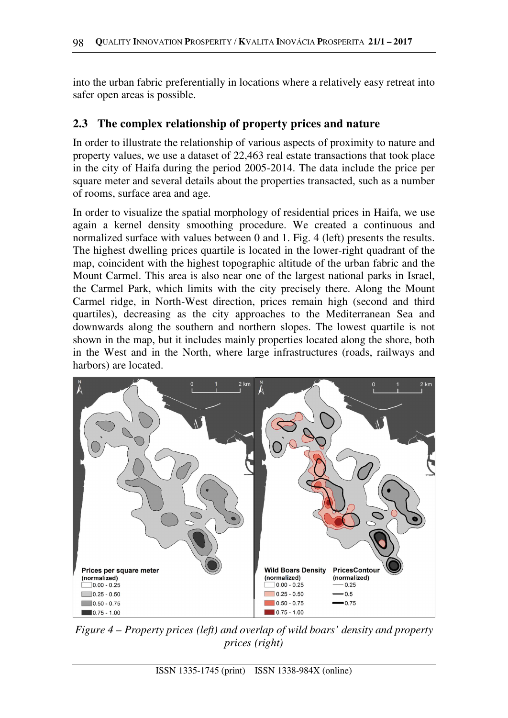into the urban fabric preferentially in locations where a relatively easy retreat into safer open areas is possible.

### **2.3 The complex relationship of property prices and nature**

In order to illustrate the relationship of various aspects of proximity to nature and property values, we use a dataset of 22,463 real estate transactions that took place in the city of Haifa during the period 2005-2014. The data include the price per square meter and several details about the properties transacted, such as a number of rooms, surface area and age.

In order to visualize the spatial morphology of residential prices in Haifa, we use again a kernel density smoothing procedure. We created a continuous and normalized surface with values between 0 and 1. Fig. 4 (left) presents the results. The highest dwelling prices quartile is located in the lower-right quadrant of the map, coincident with the highest topographic altitude of the urban fabric and the Mount Carmel. This area is also near one of the largest national parks in Israel, the Carmel Park, which limits with the city precisely there. Along the Mount Carmel ridge, in North-West direction, prices remain high (second and third quartiles), decreasing as the city approaches to the Mediterranean Sea and downwards along the southern and northern slopes. The lowest quartile is not shown in the map, but it includes mainly properties located along the shore, both in the West and in the North, where large infrastructures (roads, railways and harbors) are located.



*Figure 4 – Property prices (left) and overlap of wild boars' density and property prices (right)*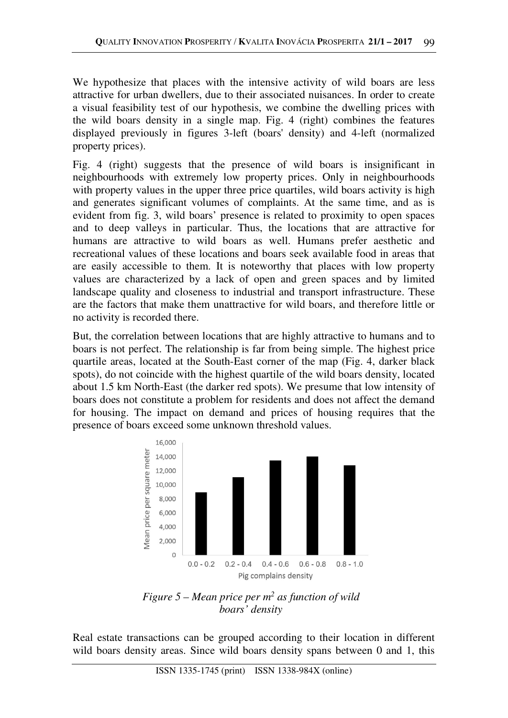We hypothesize that places with the intensive activity of wild boars are less attractive for urban dwellers, due to their associated nuisances. In order to create a visual feasibility test of our hypothesis, we combine the dwelling prices with the wild boars density in a single map. Fig. 4 (right) combines the features displayed previously in figures 3-left (boars' density) and 4-left (normalized property prices).

Fig. 4 (right) suggests that the presence of wild boars is insignificant in neighbourhoods with extremely low property prices. Only in neighbourhoods with property values in the upper three price quartiles, wild boars activity is high and generates significant volumes of complaints. At the same time, and as is evident from fig. 3, wild boars' presence is related to proximity to open spaces and to deep valleys in particular. Thus, the locations that are attractive for humans are attractive to wild boars as well. Humans prefer aesthetic and recreational values of these locations and boars seek available food in areas that are easily accessible to them. It is noteworthy that places with low property values are characterized by a lack of open and green spaces and by limited landscape quality and closeness to industrial and transport infrastructure. These are the factors that make them unattractive for wild boars, and therefore little or no activity is recorded there.

But, the correlation between locations that are highly attractive to humans and to boars is not perfect. The relationship is far from being simple. The highest price quartile areas, located at the South-East corner of the map (Fig. 4, darker black spots), do not coincide with the highest quartile of the wild boars density, located about 1.5 km North-East (the darker red spots). We presume that low intensity of boars does not constitute a problem for residents and does not affect the demand for housing. The impact on demand and prices of housing requires that the presence of boars exceed some unknown threshold values.



*Figure 5 – Mean price per m<sup>2</sup> as function of wild boars' density* 

Real estate transactions can be grouped according to their location in different wild boars density areas. Since wild boars density spans between 0 and 1, this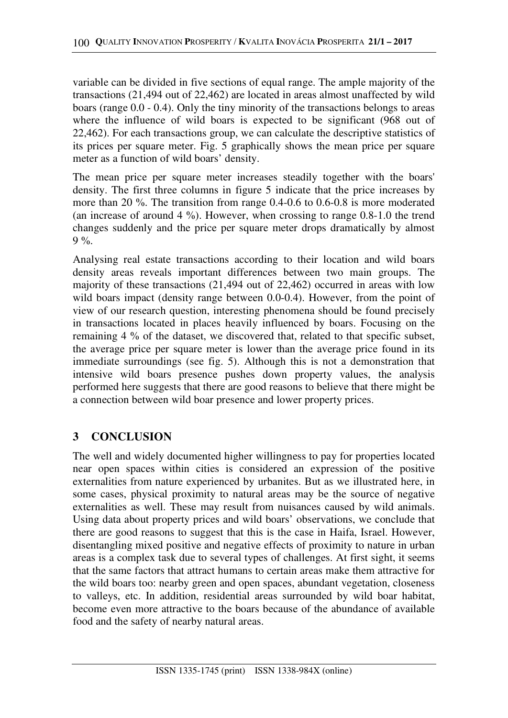variable can be divided in five sections of equal range. The ample majority of the transactions (21,494 out of 22,462) are located in areas almost unaffected by wild boars (range 0.0 - 0.4). Only the tiny minority of the transactions belongs to areas where the influence of wild boars is expected to be significant (968 out of 22,462). For each transactions group, we can calculate the descriptive statistics of its prices per square meter. Fig. 5 graphically shows the mean price per square meter as a function of wild boars' density.

The mean price per square meter increases steadily together with the boars' density. The first three columns in figure 5 indicate that the price increases by more than 20 %. The transition from range 0.4-0.6 to 0.6-0.8 is more moderated (an increase of around  $4\%$ ). However, when crossing to range 0.8-1.0 the trend changes suddenly and the price per square meter drops dramatically by almost  $9\%$ .

Analysing real estate transactions according to their location and wild boars density areas reveals important differences between two main groups. The majority of these transactions (21,494 out of 22,462) occurred in areas with low wild boars impact (density range between 0.0-0.4). However, from the point of view of our research question, interesting phenomena should be found precisely in transactions located in places heavily influenced by boars. Focusing on the remaining 4 % of the dataset, we discovered that, related to that specific subset, the average price per square meter is lower than the average price found in its immediate surroundings (see fig. 5). Although this is not a demonstration that intensive wild boars presence pushes down property values, the analysis performed here suggests that there are good reasons to believe that there might be a connection between wild boar presence and lower property prices.

## **3 CONCLUSION**

The well and widely documented higher willingness to pay for properties located near open spaces within cities is considered an expression of the positive externalities from nature experienced by urbanites. But as we illustrated here, in some cases, physical proximity to natural areas may be the source of negative externalities as well. These may result from nuisances caused by wild animals. Using data about property prices and wild boars' observations, we conclude that there are good reasons to suggest that this is the case in Haifa, Israel. However, disentangling mixed positive and negative effects of proximity to nature in urban areas is a complex task due to several types of challenges. At first sight, it seems that the same factors that attract humans to certain areas make them attractive for the wild boars too: nearby green and open spaces, abundant vegetation, closeness to valleys, etc. In addition, residential areas surrounded by wild boar habitat, become even more attractive to the boars because of the abundance of available food and the safety of nearby natural areas.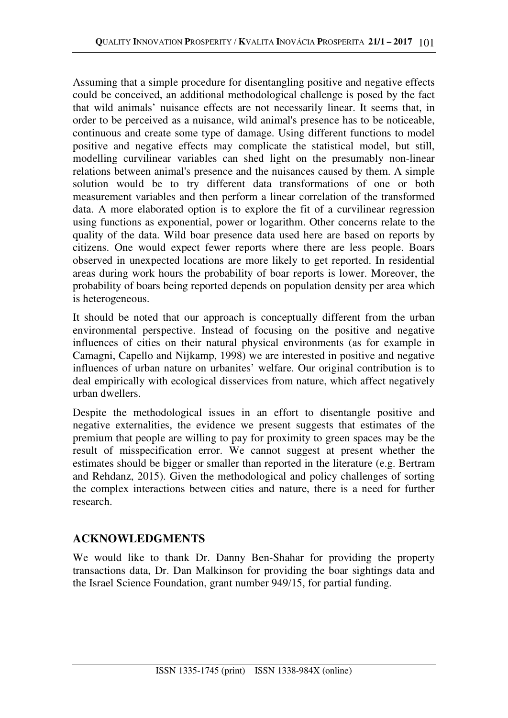Assuming that a simple procedure for disentangling positive and negative effects could be conceived, an additional methodological challenge is posed by the fact that wild animals' nuisance effects are not necessarily linear. It seems that, in order to be perceived as a nuisance, wild animal's presence has to be noticeable, continuous and create some type of damage. Using different functions to model positive and negative effects may complicate the statistical model, but still, modelling curvilinear variables can shed light on the presumably non-linear relations between animal's presence and the nuisances caused by them. A simple solution would be to try different data transformations of one or both measurement variables and then perform a linear correlation of the transformed data. A more elaborated option is to explore the fit of a curvilinear regression using functions as exponential, power or logarithm. Other concerns relate to the quality of the data. Wild boar presence data used here are based on reports by citizens. One would expect fewer reports where there are less people. Boars observed in unexpected locations are more likely to get reported. In residential areas during work hours the probability of boar reports is lower. Moreover, the probability of boars being reported depends on population density per area which is heterogeneous.

It should be noted that our approach is conceptually different from the urban environmental perspective. Instead of focusing on the positive and negative influences of cities on their natural physical environments (as for example in Camagni, Capello and Nijkamp, 1998) we are interested in positive and negative influences of urban nature on urbanites' welfare. Our original contribution is to deal empirically with ecological disservices from nature, which affect negatively urban dwellers.

Despite the methodological issues in an effort to disentangle positive and negative externalities, the evidence we present suggests that estimates of the premium that people are willing to pay for proximity to green spaces may be the result of misspecification error. We cannot suggest at present whether the estimates should be bigger or smaller than reported in the literature (e.g. Bertram and Rehdanz, 2015). Given the methodological and policy challenges of sorting the complex interactions between cities and nature, there is a need for further research.

## **ACKNOWLEDGMENTS**

We would like to thank Dr. Danny Ben-Shahar for providing the property transactions data, Dr. Dan Malkinson for providing the boar sightings data and the Israel Science Foundation, grant number 949/15, for partial funding.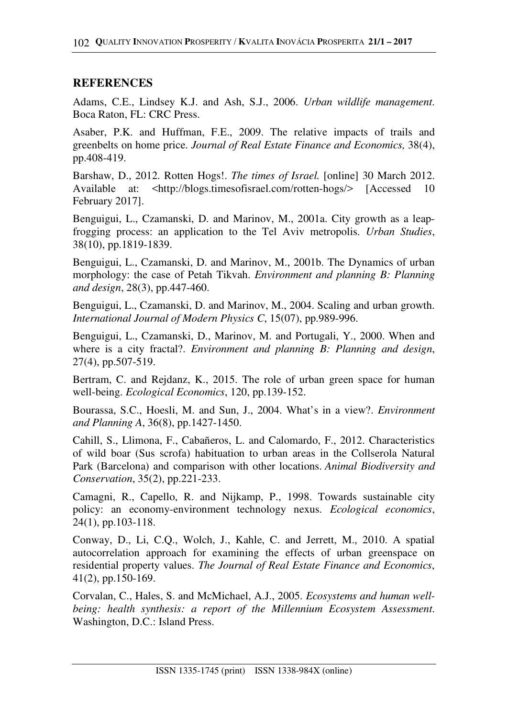## **REFERENCES**

Adams, C.E., Lindsey K.J. and Ash, S.J., 2006. *Urban wildlife management*. Boca Raton, FL: CRC Press.

Asaber, P.K. and Huffman, F.E., 2009. The relative impacts of trails and greenbelts on home price. *Journal of Real Estate Finance and Economics,* 38(4), pp.408-419.

Barshaw, D., 2012. Rotten Hogs!. *The times of Israel.* [online] 30 March 2012. Available at: <http://blogs.timesofisrael.com/rotten-hogs/> [Accessed 10 February 2017].

Benguigui, L., Czamanski, D. and Marinov, M., 2001a. City growth as a leapfrogging process: an application to the Tel Aviv metropolis. *Urban Studies*, 38(10), pp.1819-1839.

Benguigui, L., Czamanski, D. and Marinov, M., 2001b. The Dynamics of urban morphology: the case of Petah Tikvah. *Environment and planning B: Planning and design*, 28(3), pp.447-460.

Benguigui, L., Czamanski, D. and Marinov, M., 2004. Scaling and urban growth. *International Journal of Modern Physics C*, 15(07), pp.989-996.

Benguigui, L., Czamanski, D., Marinov, M. and Portugali, Y., 2000. When and where is a city fractal?. *Environment and planning B: Planning and design*, 27(4), pp.507-519.

Bertram, C. and Rejdanz, K., 2015. The role of urban green space for human well-being. *Ecological Economics*, 120, pp.139-152.

Bourassa, S.C., Hoesli, M. and Sun, J., 2004. What's in a view?. *Environment and Planning A*, 36(8), pp.1427-1450.

Cahill, S., Llimona, F., Cabañeros, L. and Calomardo, F., 2012. Characteristics of wild boar (Sus scrofa) habituation to urban areas in the Collserola Natural Park (Barcelona) and comparison with other locations. *Animal Biodiversity and Conservation*, 35(2), pp.221-233.

Camagni, R., Capello, R. and Nijkamp, P., 1998. Towards sustainable city policy: an economy-environment technology nexus. *Ecological economics*, 24(1), pp.103-118.

Conway, D., Li, C.Q., Wolch, J., Kahle, C. and Jerrett, M., 2010. A spatial autocorrelation approach for examining the effects of urban greenspace on residential property values. *The Journal of Real Estate Finance and Economics*, 41(2), pp.150-169.

Corvalan, C., Hales, S. and McMichael, A.J., 2005. *Ecosystems and human wellbeing: health synthesis: a report of the Millennium Ecosystem Assessment*. Washington, D.C.: Island Press.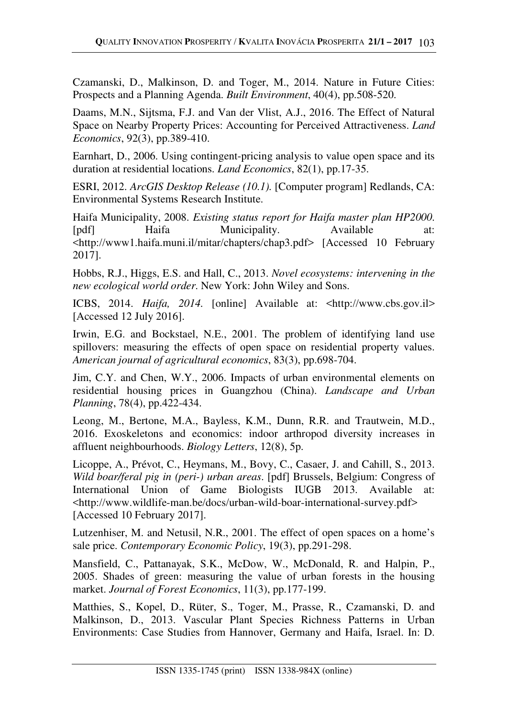Czamanski, D., Malkinson, D. and Toger, M., 2014. Nature in Future Cities: Prospects and a Planning Agenda. *Built Environment*, 40(4), pp.508-520.

Daams, M.N., Sijtsma, F.J. and Van der Vlist, A.J., 2016. The Effect of Natural Space on Nearby Property Prices: Accounting for Perceived Attractiveness. *Land Economics*, 92(3), pp.389-410.

Earnhart, D., 2006. Using contingent-pricing analysis to value open space and its duration at residential locations. *Land Economics*, 82(1), pp.17-35.

ESRI, 2012. *ArcGIS Desktop Release (10.1).* [Computer program] Redlands, CA: Environmental Systems Research Institute.

Haifa Municipality, 2008. *Existing status report for Haifa master plan HP2000*. [pdf] Haifa Municipality. Available at: <http://www1.haifa.muni.il/mitar/chapters/chap3.pdf> [Accessed 10 February 2017].

Hobbs, R.J., Higgs, E.S. and Hall, C., 2013. *Novel ecosystems: intervening in the new ecological world order*. New York: John Wiley and Sons.

ICBS, 2014. *Haifa, 2014.* [online] Available at: <http://www.cbs.gov.il> [Accessed 12 July 2016].

Irwin, E.G. and Bockstael, N.E., 2001. The problem of identifying land use spillovers: measuring the effects of open space on residential property values. *American journal of agricultural economics*, 83(3), pp.698-704.

Jim, C.Y. and Chen, W.Y., 2006. Impacts of urban environmental elements on residential housing prices in Guangzhou (China). *Landscape and Urban Planning*, 78(4), pp.422-434.

Leong, M., Bertone, M.A., Bayless, K.M., Dunn, R.R. and Trautwein, M.D., 2016. Exoskeletons and economics: indoor arthropod diversity increases in affluent neighbourhoods. *Biology Letters*, 12(8), 5p.

Licoppe, A., Prévot, C., Heymans, M., Bovy, C., Casaer, J. and Cahill, S., 2013. *Wild boar/feral pig in (peri-) urban areas*. [pdf] Brussels, Belgium: Congress of International Union of Game Biologists IUGB 2013. Available at: <http://www.wildlife-man.be/docs/urban-wild-boar-international-survey.pdf> [Accessed 10 February 2017].

Lutzenhiser, M. and Netusil, N.R., 2001. The effect of open spaces on a home's sale price. *Contemporary Economic Policy*, 19(3), pp.291-298.

Mansfield, C., Pattanayak, S.K., McDow, W., McDonald, R. and Halpin, P., 2005. Shades of green: measuring the value of urban forests in the housing market. *Journal of Forest Economics*, 11(3), pp.177-199.

Matthies, S., Kopel, D., Rüter, S., Toger, M., Prasse, R., Czamanski, D. and Malkinson, D., 2013. Vascular Plant Species Richness Patterns in Urban Environments: Case Studies from Hannover, Germany and Haifa, Israel. In: D.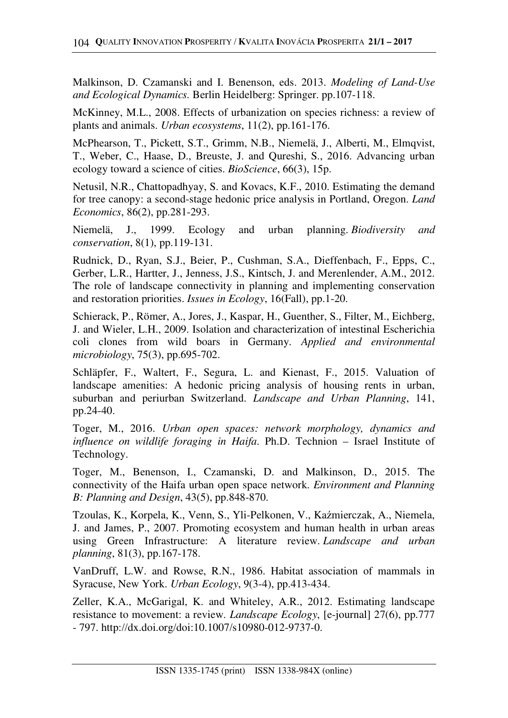Malkinson, D. Czamanski and I. Benenson, eds. 2013. *Modeling of Land-Use and Ecological Dynamics.* Berlin Heidelberg: Springer. pp.107-118.

McKinney, M.L., 2008. Effects of urbanization on species richness: a review of plants and animals. *Urban ecosystems*, 11(2), pp.161-176.

McPhearson, T., Pickett, S.T., Grimm, N.B., Niemelä, J., Alberti, M., Elmqvist, T., Weber, C., Haase, D., Breuste, J. and Qureshi, S., 2016. Advancing urban ecology toward a science of cities. *BioScience*, 66(3), 15p.

Netusil, N.R., Chattopadhyay, S. and Kovacs, K.F., 2010. Estimating the demand for tree canopy: a second-stage hedonic price analysis in Portland, Oregon. *Land Economics*, 86(2), pp.281-293.

Niemelä, J., 1999. Ecology and urban planning. *Biodiversity and conservation*, 8(1), pp.119-131.

Rudnick, D., Ryan, S.J., Beier, P., Cushman, S.A., Dieffenbach, F., Epps, C., Gerber, L.R., Hartter, J., Jenness, J.S., Kintsch, J. and Merenlender, A.M., 2012. The role of landscape connectivity in planning and implementing conservation and restoration priorities. *Issues in Ecology*, 16(Fall), pp.1-20.

Schierack, P., Römer, A., Jores, J., Kaspar, H., Guenther, S., Filter, M., Eichberg, J. and Wieler, L.H., 2009. Isolation and characterization of intestinal Escherichia coli clones from wild boars in Germany. *Applied and environmental microbiology*, 75(3), pp.695-702.

Schläpfer, F., Waltert, F., Segura, L. and Kienast, F., 2015. Valuation of landscape amenities: A hedonic pricing analysis of housing rents in urban, suburban and periurban Switzerland. *Landscape and Urban Planning*, 141, pp.24-40.

Toger, M., 2016. *Urban open spaces: network morphology, dynamics and influence on wildlife foraging in Haifa*. Ph.D. Technion – Israel Institute of Technology.

Toger, M., Benenson, I., Czamanski, D. and Malkinson, D., 2015. The connectivity of the Haifa urban open space network. *Environment and Planning B: Planning and Design*, 43(5), pp.848-870.

Tzoulas, K., Korpela, K., Venn, S., Yli-Pelkonen, V., Kaźmierczak, A., Niemela, J. and James, P., 2007. Promoting ecosystem and human health in urban areas using Green Infrastructure: A literature review. *Landscape and urban planning*, 81(3), pp.167-178.

VanDruff, L.W. and Rowse, R.N., 1986. Habitat association of mammals in Syracuse, New York. *Urban Ecology*, 9(3-4), pp.413-434.

Zeller, K.A., McGarigal, K. and Whiteley, A.R., 2012. Estimating landscape resistance to movement: a review. *Landscape Ecology*, [e-journal] 27(6), pp.777 - 797. http://dx.doi.org/doi:10.1007/s10980-012-9737-0.